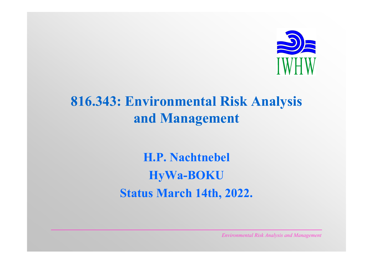

# **816.343: Environmental Risk Analysis and Management**

**H.P. Nachtnebel HyWa-BOKU Status March 14th, 2022.**

*Environmental Risk Analysis and Management*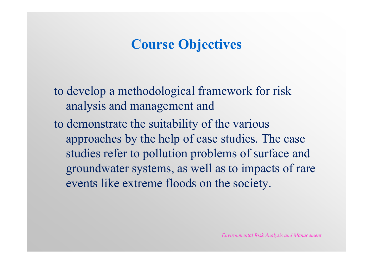# **Course Objectives**

to develop a methodological framework for risk analysis and management and to demonstrate the suitability of the various approaches by the help of case studies. The case studies refer to pollution problems of surface and groundwater systems, as well as to impacts of rare events like extreme floods on the society.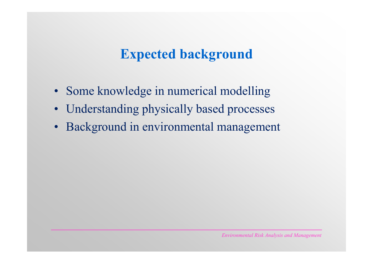## **Expected background**

- •Some knowledge in numerical modelling
- •Understanding physically based processes
- •Background in environmental management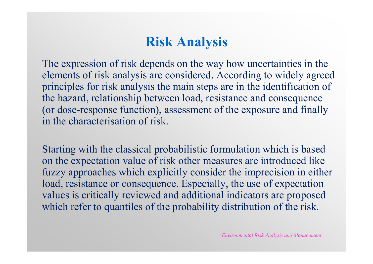# **Risk Analysis**

The expression of risk depends on the way how uncertainties in the elements of risk analysis are considered. According to widely agreed principles for risk analysis the main steps are in the identification of the hazard, relationship between load, resistance and consequence (or dose-response function), assessment of the exposure and finally in the characterisation of risk.

Starting with the classical probabilistic formulation which is based on the expectation value of risk other measures are introduced like fuzzy approaches which explicitly consider the imprecision in either load, resistance or consequence. Especially, the use of expectation values is critically reviewed and additional indicators are proposed which refer to quantiles of the probability distribution of the risk.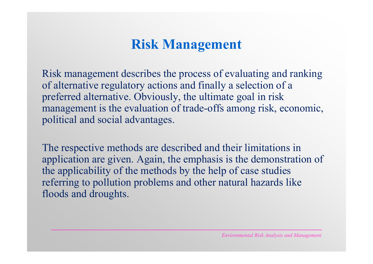## **Risk Management**

Risk management describes the process of evaluating and ranking of alternative regulatory actions and finally a selection of a preferred alternative. Obviously, the ultimate goal in risk management is the evaluation of trade-offs among risk, economic, political and social advantages.

The respective methods are described and their limitations in application are given. Again, the emphasis is the demonstration of the applicability of the methods by the help of case studies referring to pollution problems and other natural hazards like floods and droughts.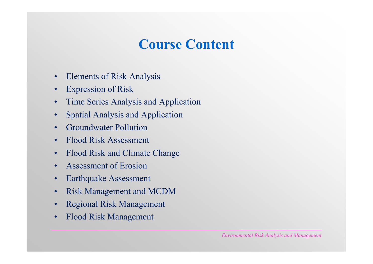## **Course Content**

- •Elements of Risk Analysis
- •Expression of Risk
- •Time Series Analysis and Application
- •Spatial Analysis and Application
- •Groundwater Pollution
- •Flood Risk Assessment
- •Flood Risk and Climate Change
- •Assessment of Erosion
- •Earthquake Assessment
- •Risk Management and MCDM
- •Regional Risk Management
- •Flood Risk Management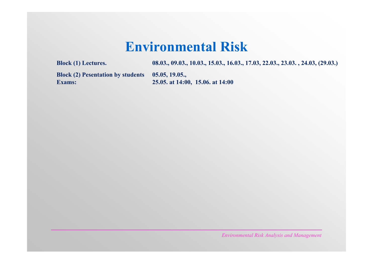### **Environmental Risk**

**Block (1) Lectures. 08.03., 09.03., 10.03., 15.03., 16.03., 17.03, 22.03., 23.03. , 24.03, (29.03.)** 

**Block (2) Pesentation by students 05.05, 19.05., Exams:** 25.05. at 14:00, 15.06. at 14:00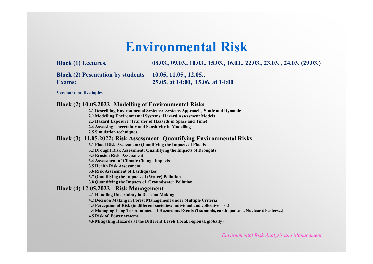### **Environmental Risk**

**Block (1) Lectures. 08.03., 09.03., 10.03., 15.03., 16.03., 22.03., 23.03. , 24.03, (29.03.)** 

**Block (2) Pesentation by students 10.05, 11.05., 12.05., Exams: 25.05. at 14:00, 15.06. at 14:00**

**Version: tentative topics**

**Block (2) 10.05.2022: Modelling of Environmental Risks** 

**2.1 Describing Environmental Systems: Systems Approach, Static and Dynamic** 

**2.2 Modelling Environmental Systems: Hazard Assessment Models** 

**2.3 Hazard Exposure (Transfer of Hazards in Space and Time)**

**2.4 Assessing Uncertainty and Sensitivity in Modelling**

**2.5 Simulation techniques**

#### **Block (3) 11.05.2022: Risk Assessment: Quantifying Environmental Risks**

**3.1 Flood Risk Assessment: Quantifying the Impacts of Floods**

**3.2 Drought Risk Assessment: Quantifying the Impacts of Droughts** 

**3.3 Erosion Risk Assessment** 

**3.4 Assessment of Climate Change Impacts** 

**3.5 Health Risk Assessment** 

**3.6 Risk Assessment of Earthquakes** 

**3.7 Quantifying the Impacts of (Water) Pollution** 

**3.8 Quantifying the Impacts of Groundwater Pollution** 

#### **Block (4) 12.05.2022: Risk Management**

**4.1 Handling Uncertainty in Decision Making**

**4.2 Decision Making in Forest Management under Multiple Criteria** 

**4.3 Perception of Risk (in different societies: individual and collective risk)**

**4.4 Managing Long Term Impacts of Hazardous Events (Tsunamis, earth quakes ,. Nuclear disasters,..)** 

**4.5 Risk of Power systems** 

**4.6 Mitigating Hazards at the Different Levels (local, regional, globally)**